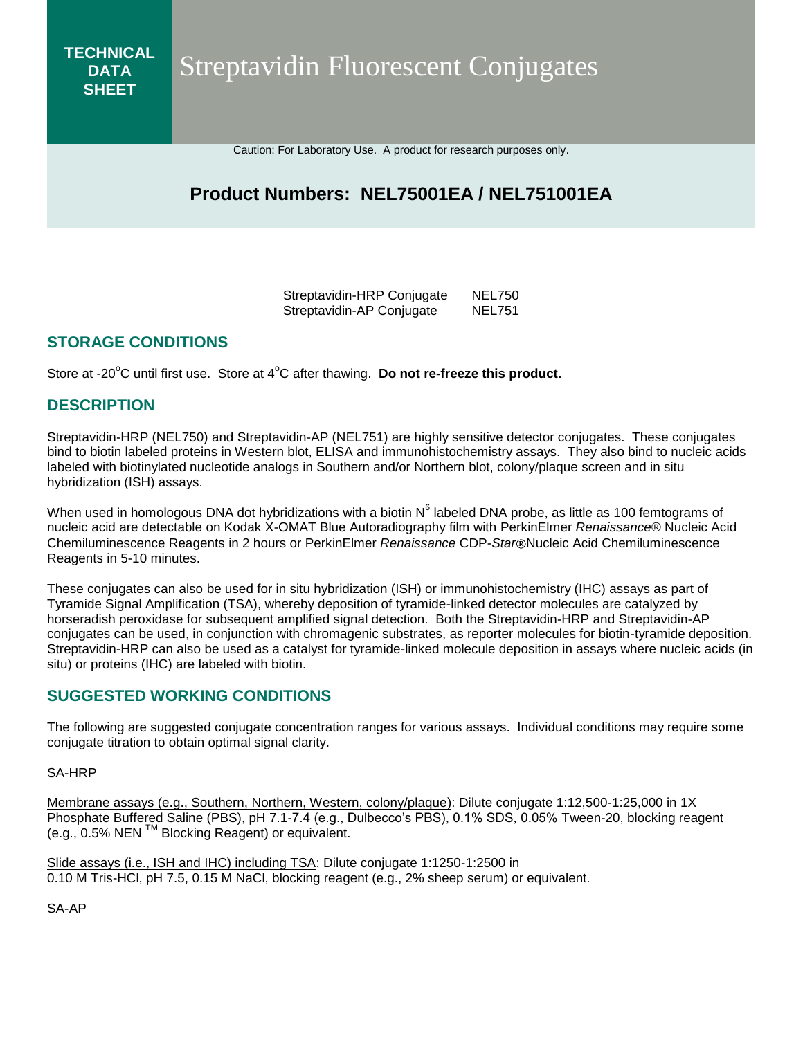Streptavidin Fluorescent Conjugates

Caution: For Laboratory Use. A product for research purposes only.

# **Product Numbers: NEL75001EA / NEL751001EA**

Streptavidin-HRP Conjugate NEL750 Streptavidin-AP Conjugate NEL751

#### **STORAGE CONDITIONS**

Store at -20°C until first use. Store at 4°C after thawing. Do not re-freeze this product.

#### **DESCRIPTION**

**TECHNICAL DATA SHEET**

Streptavidin-HRP (NEL750) and Streptavidin-AP (NEL751) are highly sensitive detector conjugates. These conjugates bind to biotin labeled proteins in Western blot, ELISA and immunohistochemistry assays. They also bind to nucleic acids labeled with biotinylated nucleotide analogs in Southern and/or Northern blot, colony/plaque screen and in situ hybridization (ISH) assays.

When used in homologous DNA dot hybridizations with a biotin N<sup>6</sup> labeled DNA probe, as little as 100 femtograms of nucleic acid are detectable on Kodak X-OMAT Blue Autoradiography film with PerkinElmer *Renaissance*® Nucleic Acid Chemiluminescence Reagents in 2 hours or PerkinElmer *Renaissance* CDP-*Star* Nucleic Acid Chemiluminescence Reagents in 5-10 minutes.

These conjugates can also be used for in situ hybridization (ISH) or immunohistochemistry (IHC) assays as part of Tyramide Signal Amplification (TSA), whereby deposition of tyramide-linked detector molecules are catalyzed by horseradish peroxidase for subsequent amplified signal detection. Both the Streptavidin-HRP and Streptavidin-AP conjugates can be used, in conjunction with chromagenic substrates, as reporter molecules for biotin-tyramide deposition. Streptavidin-HRP can also be used as a catalyst for tyramide-linked molecule deposition in assays where nucleic acids (in situ) or proteins (IHC) are labeled with biotin.

#### **SUGGESTED WORKING CONDITIONS**

The following are suggested conjugate concentration ranges for various assays. Individual conditions may require some conjugate titration to obtain optimal signal clarity.

SA-HRP

Membrane assays (e.g., Southern, Northern, Western, colony/plaque): Dilute conjugate 1:12,500-1:25,000 in 1X Phosphate Buffered Saline (PBS), pH 7.1-7.4 (e.g., Dulbecco's PBS), 0.1% SDS, 0.05% Tween-20, blocking reagent (e.g., 0.5% NEN TM Blocking Reagent) or equivalent.

Slide assays (i.e., ISH and IHC) including TSA: Dilute conjugate 1:1250-1:2500 in 0.10 M Tris-HCl, pH 7.5, 0.15 M NaCl, blocking reagent (e.g., 2% sheep serum) or equivalent.

SA-AP